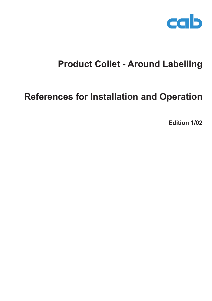

## **Product Collet - Around Labelling**

## **References for Installation and Operation**

**Edition 1/02**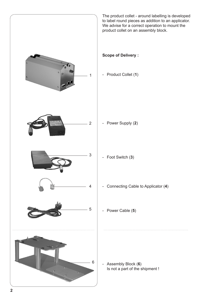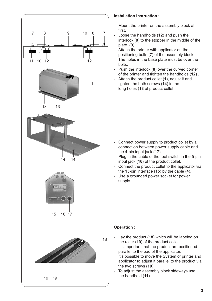

## **Installation Instruction :**

- Mount the printer on the assembly block at first.
- Loose the handholds (**12**) and push the interlock (**8**) to the stopper in the middle of the plate (**9**).
- Attach the printer with applicator on the positioning bolts (**7**) of the assembly block The holes in the base plate must be over the bolts.
- Push the interlock (**8**) over the curved corner of the printer and tighten the handholds (**12**) .
- Attach the product collet (**1**), adjust it and tighten the both screws (**14**) in the long holes (**13** of product collet.

- Connect power supply to product collet by a connection between power supply cable and the 4-pin input jack (**17**).
- Plug in the cable of the foot switch in the 5-pin input jack (**16**) of the product collet.
- Connect the product collet to the applicator via the 15-pin interface (**15**) by the cable (**4**).
- Use a grounded power socket for power supply.

## **Operation :**

- Lay the product (**18**) which will be labeled on the roller (**19**) of the product collet.
- It's important that the product are positioned parallel to the pad of the applicator. It's possible to move the System of printer and applicator to adjust it parallel to the product via the two screws (**10**).
- To adjust the assembly block sideways use the handhold (**11**).